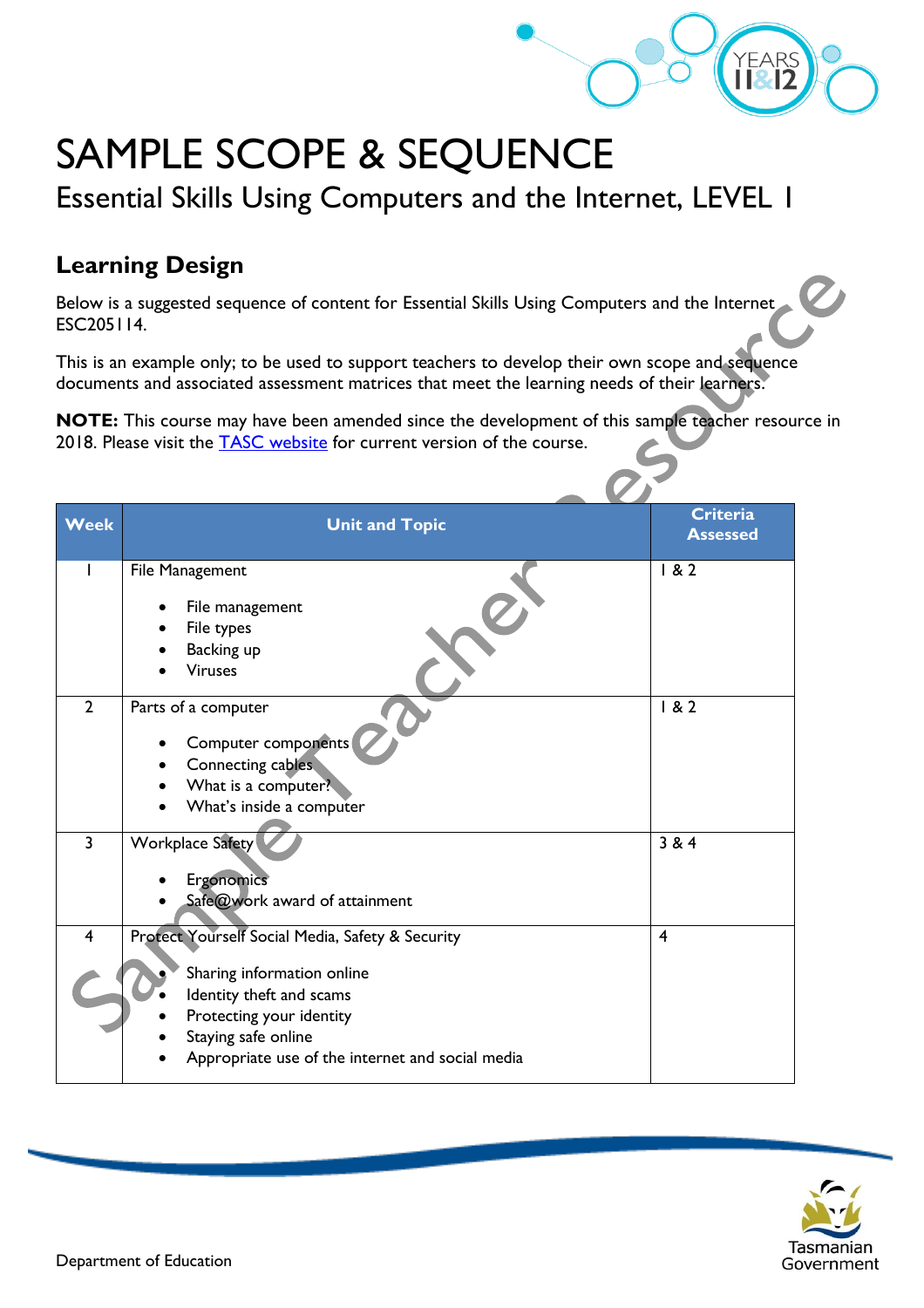

## SAMPLE SCOPE & SEQUENCE

Essential Skills Using Computers and the Internet, LEVEL 1

## **Learning Design**

Below is a suggested sequence of content for Essential Skills Using Computers and the Internet ESC205114.

This is an example only; to be used to support teachers to develop their own scope and sequence documents and associated assessment matrices that meet the learning needs of their learners.

**NOTE:** This course may have been amended since the development of this sample teacher resource in 2018. Please visit the **TASC** website for current version of the course.

| <b>Week</b>    | <b>Unit and Topic</b>                            | <b>Criteria</b><br><b>Assessed</b> |
|----------------|--------------------------------------------------|------------------------------------|
|                | File Management                                  | 182                                |
|                | File management                                  |                                    |
|                |                                                  |                                    |
|                | File types                                       |                                    |
|                | Backing up<br><b>Viruses</b>                     |                                    |
|                |                                                  |                                    |
| $\overline{2}$ | Parts of a computer                              | 182                                |
|                | Computer components                              |                                    |
|                | Connecting cables                                |                                    |
|                | What is a computer?                              |                                    |
|                | What's inside a computer                         |                                    |
|                |                                                  |                                    |
| $\overline{3}$ | Workplace Safety                                 | 384                                |
|                | Ergonomics                                       |                                    |
|                | Safe@work award of attainment                    |                                    |
|                |                                                  |                                    |
| $\overline{4}$ | Protect Yourself Social Media, Safety & Security | 4                                  |
|                |                                                  |                                    |
|                | Sharing information online                       |                                    |
|                | Identity theft and scams                         |                                    |
|                | Protecting your identity                         |                                    |
|                | Staying safe online                              |                                    |
|                | Appropriate use of the internet and social media |                                    |
|                |                                                  |                                    |